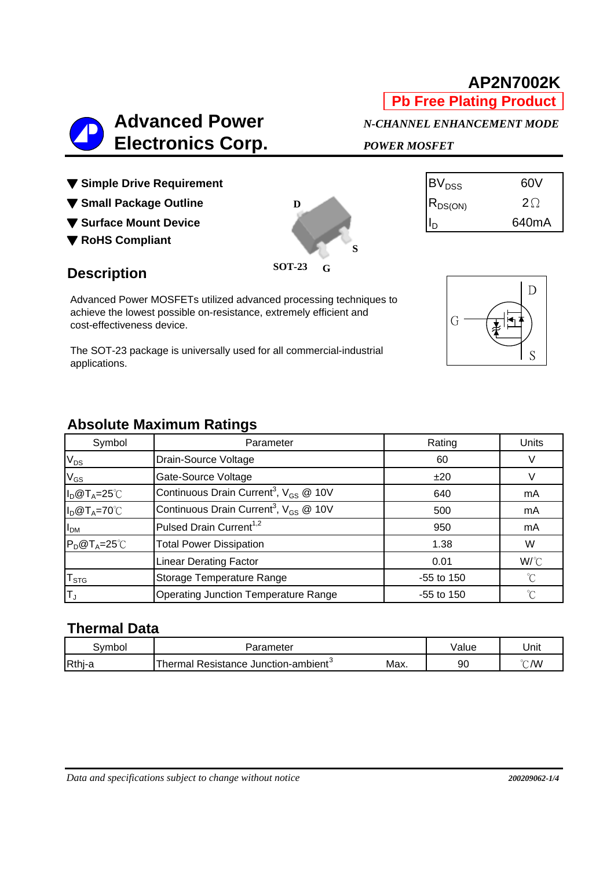# **Advanced Power** *N-CHANNEL ENHANCEMENT MODE*

**D**

**SOT-23**

**G**

**S**

- $\blacktriangledown$  Simple Drive Requirement  $|BV_{DSS}|$  60V
- **▼ Small Package Outline** RDS(ON) 2Ω
- ▼ Surface Mount Device **ID 640mA**
- ▼ **RoHS Compliant**

# **Description**

Advanced Power MOSFETs utilized advanced processing techniques to achieve the lowest possible on-resistance, extremely efficient and cost-effectiveness device.

The SOT-23 package is universally used for all commercial-industrial applications.

# **Absolute Maximum Ratings**

| Symbol               | Parameter                                                     | Rating       | Units        |  |
|----------------------|---------------------------------------------------------------|--------------|--------------|--|
| $V_{DS}$             | Drain-Source Voltage                                          | 60           |              |  |
| $V_{GS}$             | Gate-Source Voltage                                           | ±20          |              |  |
| $I_D@T_A=25°C$       | Continuous Drain Current <sup>3</sup> , $V_{GS}$ @ 10V        | 640          | mA           |  |
| $I_D@T_A=70°C$       | Continuous Drain Current <sup>3</sup> , $V_{GS}$ @ 10V<br>500 |              | mA           |  |
| I <sub>DM</sub>      | Pulsed Drain Current <sup>1,2</sup>                           |              | mA           |  |
| $P_D@T_A=25^\circ C$ | <b>Total Power Dissipation</b>                                | 1.38         | W            |  |
|                      | <b>Linear Derating Factor</b>                                 | 0.01         | W/°C         |  |
| $I_{STG}$            | Storage Temperature Range                                     | -55 to 150   | $^{\circ}$ C |  |
| $T_{J}$              | <b>Operating Junction Temperature Range</b>                   | $-55$ to 150 | n            |  |

# **Thermal Data**

| svmbol | Parameter                                           |      | Value | Unit               |
|--------|-----------------------------------------------------|------|-------|--------------------|
| Rthj-a | ™herma⊫<br>Resistance Junction-ambient <sup>3</sup> | Max. | 90    | °∩′W<br>$\cup$ ivv |



 **Electronics Corp.** *POWER MOSFET*

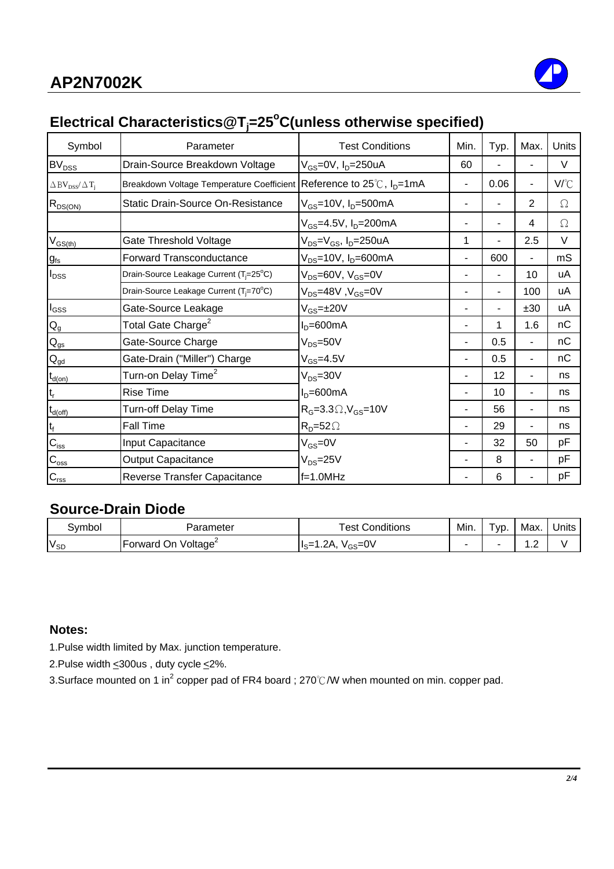# **Electrical Characteristics@Tj =25o C(unless otherwise specified)**

| Symbol                                               | Parameter                                                                           | <b>Test Conditions</b>                                   | Min.                     | Typ. | Max. | Units          |
|------------------------------------------------------|-------------------------------------------------------------------------------------|----------------------------------------------------------|--------------------------|------|------|----------------|
| BV <sub>DSS</sub>                                    | Drain-Source Breakdown Voltage                                                      | V <sub>GS</sub> =0V, I <sub>D</sub> =250uA               | 60                       |      |      | $\vee$         |
| $\Delta$ BV <sub>DSS</sub> / $\Delta$ T <sub>i</sub> | Breakdown Voltage Temperature Coefficient Reference to $25^{\circ}$ C, $I_{D}$ =1mA |                                                          |                          | 0.06 | -    | V/°C           |
| $R_{DS(ON)}$                                         | <b>Static Drain-Source On-Resistance</b>                                            | $V_{GS}$ =10V, I <sub>D</sub> =500mA                     |                          |      | 2    | $\Omega$       |
|                                                      |                                                                                     | V <sub>GS</sub> =4.5V, I <sub>D</sub> =200mA             |                          |      | 4    | $\Omega$       |
| $V_{GS(th)}$                                         | Gate Threshold Voltage                                                              | V <sub>DS</sub> =V <sub>GS</sub> , I <sub>D</sub> =250uA | 1                        |      | 2.5  | $\vee$         |
| $g_{\rm fs}$                                         | <b>Forward Transconductance</b>                                                     | $V_{DS}$ =10V, $I_D$ =600mA                              | $\overline{\phantom{a}}$ | 600  | Ξ.   | m <sub>S</sub> |
| $I_{DSS}$                                            | Drain-Source Leakage Current (T <sub>i</sub> =25°C)                                 | $V_{DS}$ =60V, $V_{GS}$ =0V                              |                          |      | 10   | uA             |
|                                                      | Drain-Source Leakage Current (T <sub>i</sub> =70°C)                                 | V <sub>DS</sub> =48V, V <sub>GS</sub> =0V                |                          |      | 100  | uA             |
| $I_{GSS}$                                            | Gate-Source Leakage                                                                 | V <sub>GS</sub> =±20V                                    |                          |      | ±30  | uA             |
| $Q_g$                                                | Total Gate Charge <sup>2</sup>                                                      | $ID=600mA$                                               |                          | 1    | 1.6  | nC             |
| $Q_{gs}$                                             | Gate-Source Charge                                                                  | $V_{DS} = 50V$                                           | $\blacksquare$           | 0.5  | Ξ.   | nC             |
| $Q_{gd}$                                             | Gate-Drain ("Miller") Charge                                                        | $V_{GS} = 4.5V$                                          |                          | 0.5  | ٠    | nC             |
| $t_{d(on)}$                                          | Turn-on Delay Time <sup>2</sup>                                                     | $V_{DS} = 30V$                                           |                          | 12   | ٠    | ns             |
|                                                      | <b>Rise Time</b>                                                                    | $ID=600mA$                                               |                          | 10   |      | ns             |
| $t_{d(\text{off})}$                                  | Turn-off Delay Time                                                                 | $R_G=3.3\Omega$ , $V_{GS}=10V$                           |                          | 56   | -    | ns             |
| $\mathfrak{t}_{\mathfrak{f}}$                        | <b>Fall Time</b>                                                                    | $R_D = 52 \Omega$                                        |                          | 29   |      | ns             |
| $C_{iss}$                                            | Input Capacitance                                                                   | $V_{GS} = 0V$                                            |                          | 32   | 50   | pF             |
| $C_{\rm oss}$                                        | <b>Output Capacitance</b>                                                           | $V_{DS} = 25V$                                           |                          | 8    | -    | pF             |
| $C_{\text{rss}}$                                     | Reverse Transfer Capacitance                                                        | $f=1.0MHz$                                               |                          | 6    |      | pF             |

#### **Source-Drain Diode**

| svmbol   | - arameter                           | Conditions<br>est                    | Min. | -<br>' VD. | Max. | Units |
|----------|--------------------------------------|--------------------------------------|------|------------|------|-------|
| $V_{SD}$ | . Voltage <sup>2</sup><br>Forward On | .2A<br>$I_{\rm c}$ =<br>′ce=∪∨<br>სა | -    |            | . .  |       |

#### **Notes:**

1.Pulse width limited by Max. junction temperature.

2.Pulse width  $\leq$  300us, duty cycle  $\leq$  2%.

3.Surface mounted on 1 in<sup>2</sup> copper pad of FR4 board ; 270℃/W when mounted on min. copper pad.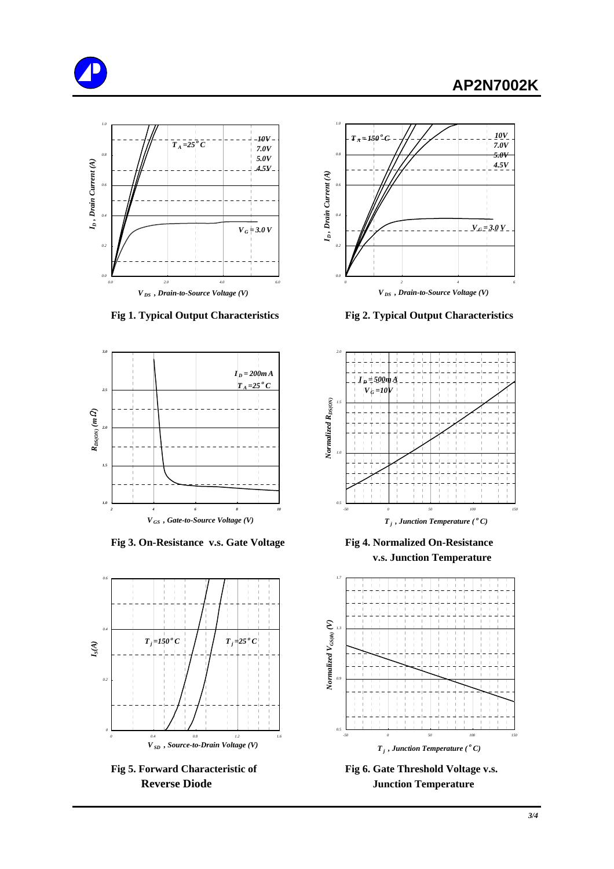# **AP2N7002K**







**Fig 3. On-Resistance v.s. Gate Voltage Fig 4. Normalized On-Resistance** 





 **Fig 1. Typical Output Characteristics Fig 2. Typical Output Characteristics**



 **v.s. Junction Temperature**



Fig 5. Forward Characteristic of Fig 6. Gate Threshold Voltage v.s. **Reverse Diode Junction Temperature**